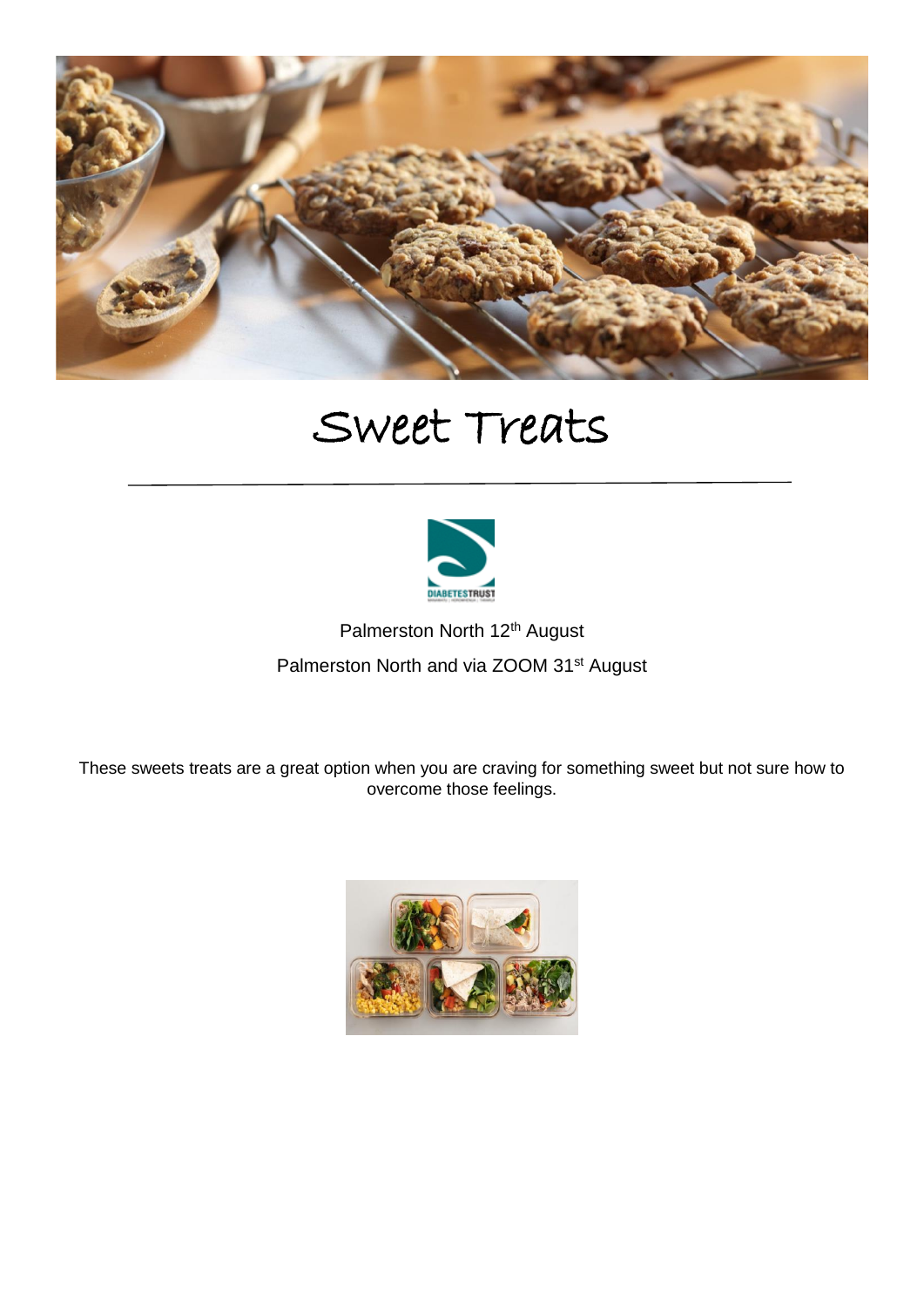

## Sweet Treats



٦

Palmerston North 12<sup>th</sup> August Palmerston North and via ZOOM 31<sup>st</sup> August

These sweets treats are a great option when you are craving for something sweet but not sure how to overcome those feelings.

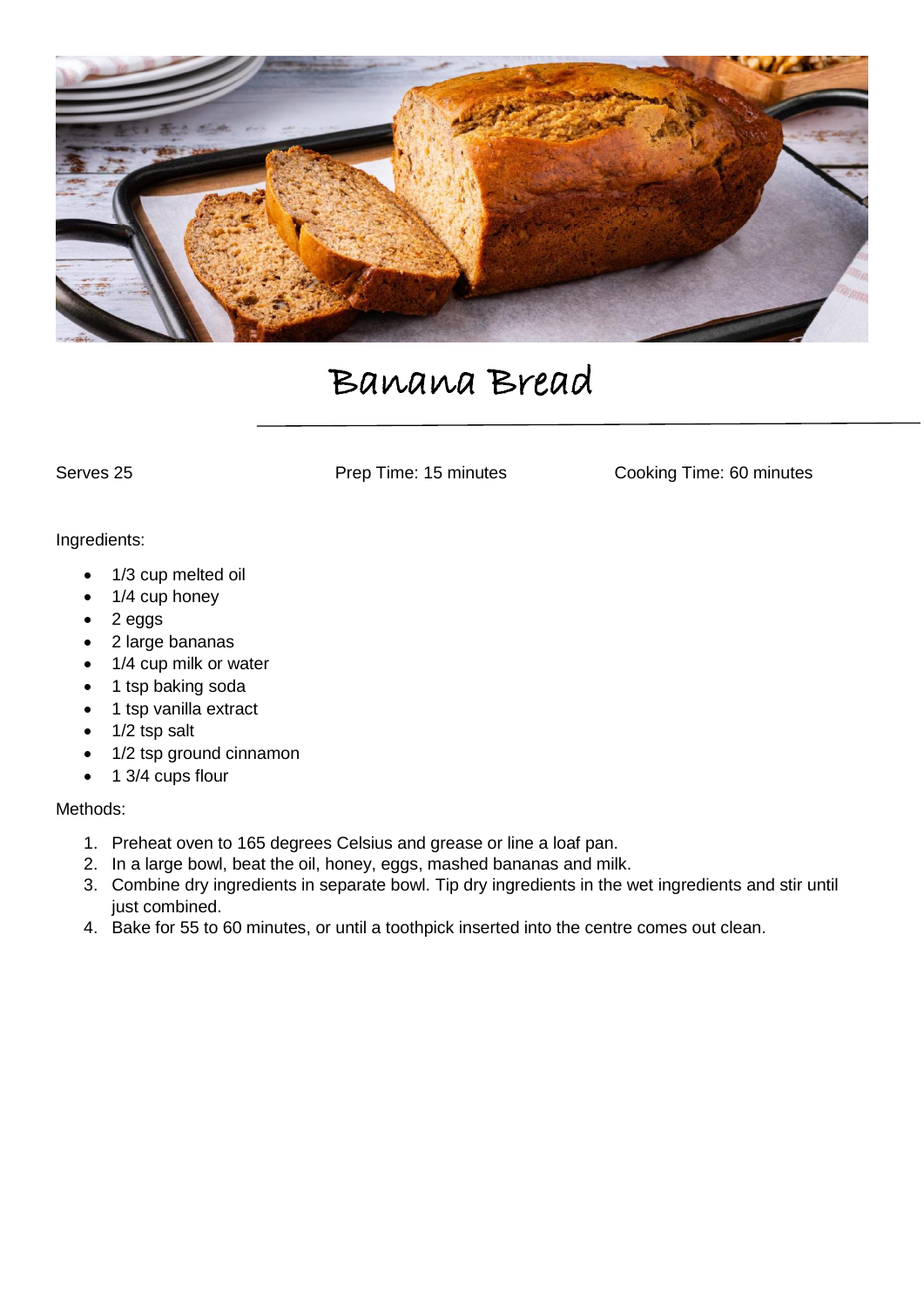

## Banana Bread

Serves 25 **Prep Time: 15 minutes** Cooking Time: 60 minutes

#### Ingredients:

- 1/3 cup melted oil
- 1/4 cup honey
- $\bullet$  2 eggs
- 2 large bananas
- 1/4 cup milk or water
- 1 tsp baking soda
- 1 tsp vanilla extract
- 1/2 tsp salt
- 1/2 tsp ground cinnamon
- $\bullet$  1 3/4 cups flour

## Methods:

- 1. Preheat oven to 165 degrees Celsius and grease or line a loaf pan.
- 2. In a large bowl, beat the oil, honey, eggs, mashed bananas and milk.
- 3. Combine dry ingredients in separate bowl. Tip dry ingredients in the wet ingredients and stir until just combined.
- 4. Bake for 55 to 60 minutes, or until a toothpick inserted into the centre comes out clean.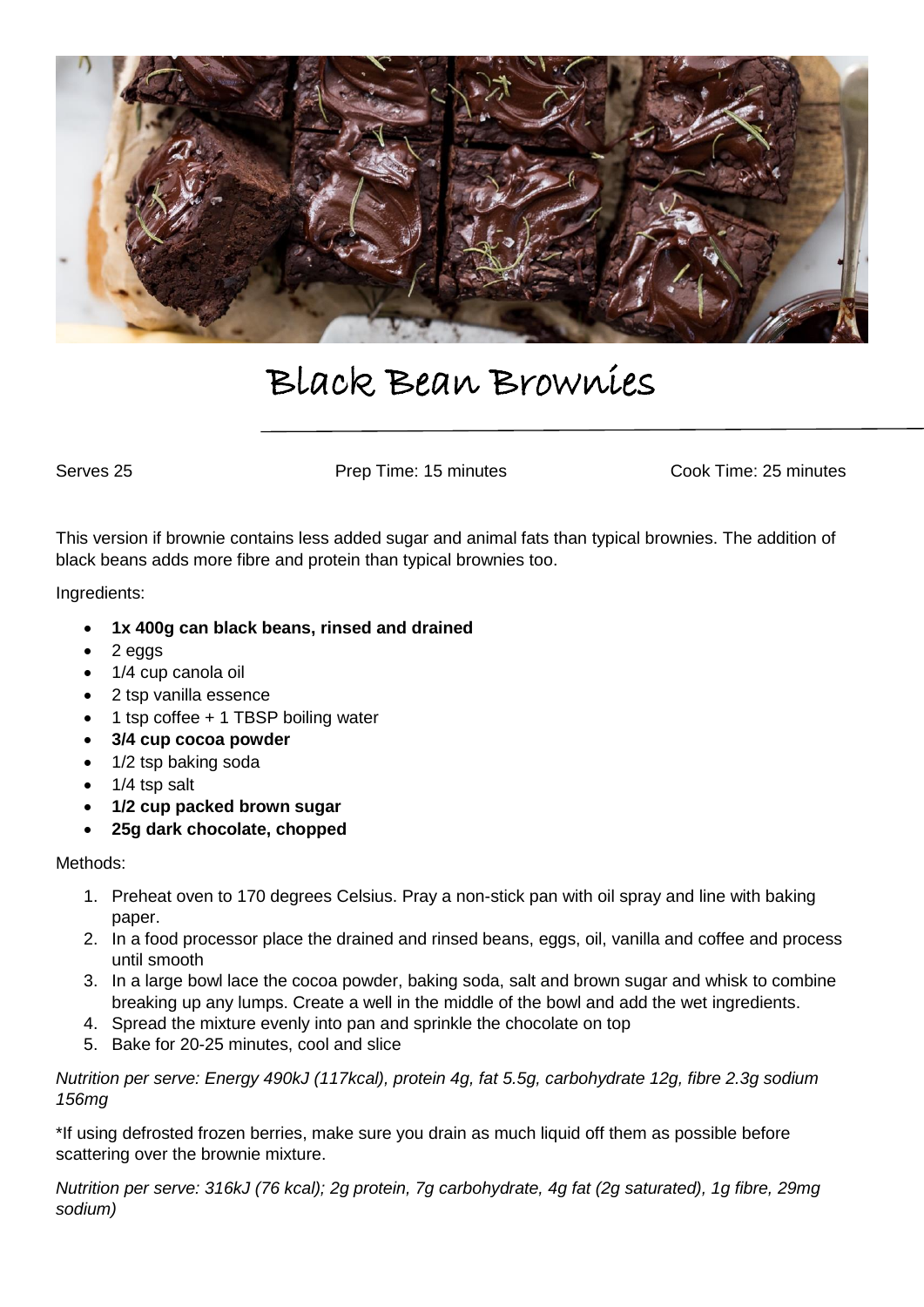

## Black Bean Brownies

Serves 25 **Prep Time: 15 minutes** Cook Time: 25 minutes

This version if brownie contains less added sugar and animal fats than typical brownies. The addition of black beans adds more fibre and protein than typical brownies too.

Ingredients:

- **1x 400g can black beans, rinsed and drained**
- $\bullet$  2 eggs
- 1/4 cup canola oil
- 2 tsp vanilla essence
- 1 tsp coffee + 1 TBSP boiling water
- **3/4 cup cocoa powder**
- 1/2 tsp baking soda
- $\bullet$  1/4 tsp salt
- **1/2 cup packed brown sugar**
- **25g dark chocolate, chopped**

#### Methods:

- 1. Preheat oven to 170 degrees Celsius. Pray a non-stick pan with oil spray and line with baking paper.
- 2. In a food processor place the drained and rinsed beans, eggs, oil, vanilla and coffee and process until smooth
- 3. In a large bowl lace the cocoa powder, baking soda, salt and brown sugar and whisk to combine breaking up any lumps. Create a well in the middle of the bowl and add the wet ingredients.
- 4. Spread the mixture evenly into pan and sprinkle the chocolate on top
- 5. Bake for 20-25 minutes, cool and slice

*Nutrition per serve: Energy 490kJ (117kcal), protein 4g, fat 5.5g, carbohydrate 12g, fibre 2.3g sodium 156mg*

\*If using defrosted frozen berries, make sure you drain as much liquid off them as possible before scattering over the brownie mixture.

*Nutrition per serve: 316kJ (76 kcal); 2g protein, 7g carbohydrate, 4g fat (2g saturated), 1g fibre, 29mg sodium)*